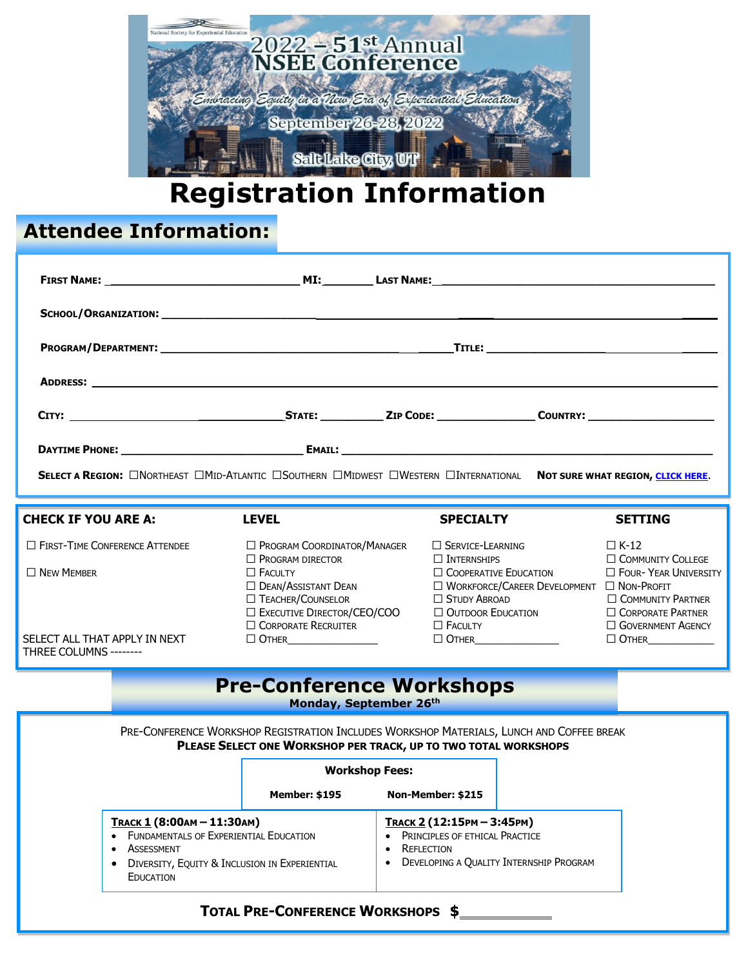

# **Registration Information**

## **Attendee Information:**

| SELECT A REGION: ONORTHEAST OMID-ATLANTIC OSOUTHERN OMIDWEST OWESTERN OINTERNATIONAL NOT SURE WHAT REGION, CLICK HERE.                                           |  |                                                                                                                                                                                                                                  |                                                                                        |                                                                                                                   |                                                                                                                                                                               |  |
|------------------------------------------------------------------------------------------------------------------------------------------------------------------|--|----------------------------------------------------------------------------------------------------------------------------------------------------------------------------------------------------------------------------------|----------------------------------------------------------------------------------------|-------------------------------------------------------------------------------------------------------------------|-------------------------------------------------------------------------------------------------------------------------------------------------------------------------------|--|
| <b>CHECK IF YOU ARE A:</b>                                                                                                                                       |  | <b>LEVEL</b>                                                                                                                                                                                                                     | <b>SPECIALTY</b>                                                                       |                                                                                                                   | <b>SETTING</b>                                                                                                                                                                |  |
| $\Box$ FIRST-TIME CONFERENCE ATTENDEE<br>$\Box$ New Member<br>SELECT ALL THAT APPLY IN NEXT<br>THREE COLUMNS --------                                            |  | <b>D</b> PROGRAM COORDINATOR/MANAGER<br>$\Box$ Program director<br>$\Box$ Faculty<br>$\Box$ DEAN/ASSISTANT DEAN<br>$\Box$ TEACHER/COUNSELOR<br><b>D</b> EXECUTIVE DIRECTOR/CEO/COO<br>$\Box$ CORPORATE RECRUITER<br>$\Box$ Other | $\Box$ Service-Learning<br>$\Box$ Internships<br>$\Box$ Study Abroad<br>$\Box$ Faculty | $\Box$ Cooperative Education<br>$\Box$ WORKFORCE/CAREER DEVELOPMENT $\Box$ NON-PROFIT<br>$\Box$ Outdoor Education | $\Box$ K-12<br><b>COMMUNITY COLLEGE</b><br><b>D</b> FOUR- YEAR UNIVERSITY<br><b>COMMUNITY PARTNER</b><br>$\Box$ CORPORATE PARTNER<br><b>GOVERNMENT AGENCY</b><br>$\Box$ Other |  |
|                                                                                                                                                                  |  | <b>Pre-Conference Workshops</b><br>Monday, September 26th                                                                                                                                                                        |                                                                                        |                                                                                                                   |                                                                                                                                                                               |  |
|                                                                                                                                                                  |  | PRE-CONFERENCE WORKSHOP REGISTRATION INCLUDES WORKSHOP MATERIALS, LUNCH AND COFFEE BREAK<br>PLEASE SELECT ONE WORKSHOP PER TRACK, UP TO TWO TOTAL WORKSHOPS<br><b>Workshop Fees:</b><br><b>Member: \$195</b>                     | Non-Member: \$215                                                                      |                                                                                                                   |                                                                                                                                                                               |  |
| TRACK 1 (8:00AM - 11:30AM)<br><b>FUNDAMENTALS OF EXPERIENTIAL EDUCATION</b><br>ASSESSMENT<br>• DIVERSITY, EQUITY & INCLUSION IN EXPERIENTIAL<br><b>EDUCATION</b> |  | TRACK 2 (12:15PM - 3:45PM)<br>PRINCIPLES OF ETHICAL PRACTICE<br><b>REFLECTION</b><br>DEVELOPING A QUALITY INTERNSHIP PROGRAM                                                                                                     |                                                                                        |                                                                                                                   |                                                                                                                                                                               |  |
| <b>TOTAL PRE-CONFERENCE WORKSHOPS \$</b>                                                                                                                         |  |                                                                                                                                                                                                                                  |                                                                                        |                                                                                                                   |                                                                                                                                                                               |  |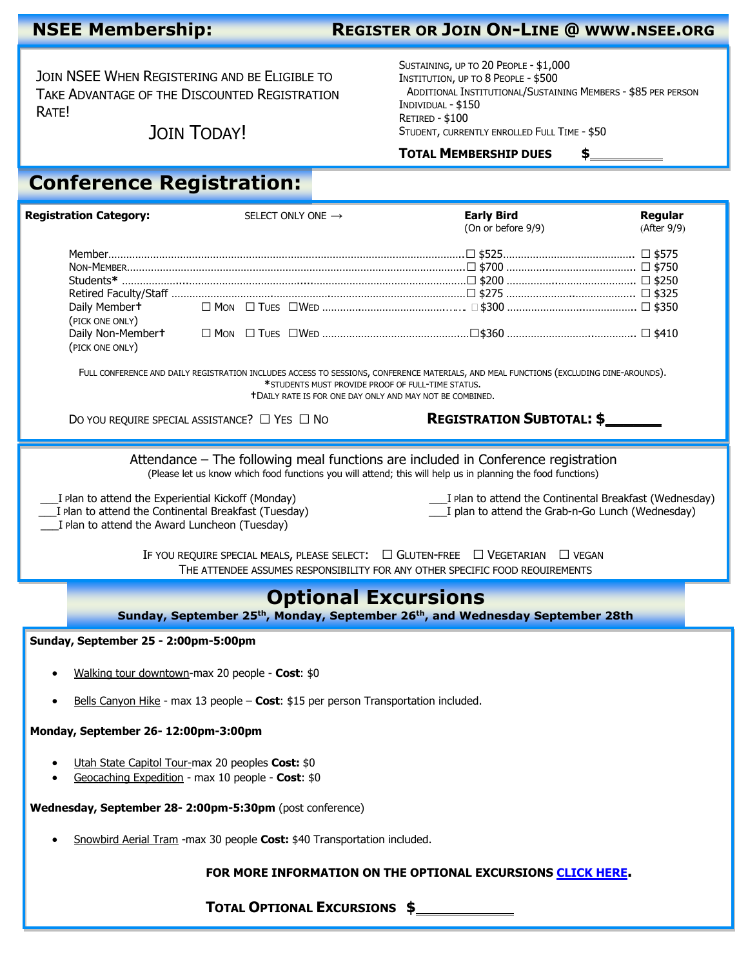### **NSEE Membership: REGISTER OR JOIN ON-LINE @ WWW.NSEE.ORG**

JOIN NSEE WHEN REGISTERING AND BE ELIGIBLE TO TAKE ADVANTAGE OF THE DISCOUNTED REGISTRATION RATE!

JOIN TODAY!

SUSTAINING, UP TO 20 PEOPLE - \$1,000 INSTITUTION, UP TO 8 PEOPLE - \$500 ADDITIONAL INSTITUTIONAL/SUSTAINING MEMBERS - \$85 PER PERSON INDIVIDUAL - \$150 RETIRED - \$100 STUDENT, CURRENTLY ENROLLED FULL TIME - \$50

**TOTAL MEMBERSHIP DUES \$**

### **Conference Registration:**

| <b>Registration Category:</b>                                                                                                                                                                                                                                                     | SELECT ONLY ONE $\rightarrow$                                                      | <b>Early Bird</b><br>(On or before 9/9)                          | Regular<br>(After 9/9) |  |  |  |  |
|-----------------------------------------------------------------------------------------------------------------------------------------------------------------------------------------------------------------------------------------------------------------------------------|------------------------------------------------------------------------------------|------------------------------------------------------------------|------------------------|--|--|--|--|
| Daily Membert<br>(PICK ONE ONLY)<br>(PICK ONE ONLY)                                                                                                                                                                                                                               |                                                                                    | □ Mon □ Tues □Wed ……………………………………… □ \$300 …………………………………… □ \$350 |                        |  |  |  |  |
| FULL CONFERENCE AND DAILY REGISTRATION INCLUDES ACCESS TO SESSIONS, CONFERENCE MATERIALS, AND MEAL FUNCTIONS (EXCLUDING DINE-AROUNDS).<br>*STUDENTS MUST PROVIDE PROOF OF FULL-TIME STATUS.<br><b>T</b> DAILY RATE IS FOR ONE DAY ONLY AND MAY NOT BE COMBINED.                   |                                                                                    |                                                                  |                        |  |  |  |  |
|                                                                                                                                                                                                                                                                                   | DO YOU REQUIRE SPECIAL ASSISTANCE? $\Box$ Yes $\Box$ No                            | <b>REGISTRATION SUBTOTAL: \$</b>                                 |                        |  |  |  |  |
| Attendance – The following meal functions are included in Conference registration<br>(Please let us know which food functions you will attend; this will help us in planning the food functions)                                                                                  |                                                                                    |                                                                  |                        |  |  |  |  |
| ___ I Plan to attend the Continental Breakfast (Wednesday)<br>I Plan to attend the Experiential Kickoff (Monday)<br>I plan to attend the Continental Breakfast (Tuesday)<br>____I plan to attend the Grab-n-Go Lunch (Wednesday)<br>I plan to attend the Award Luncheon (Tuesday) |                                                                                    |                                                                  |                        |  |  |  |  |
| IF YOU REQUIRE SPECIAL MEALS, PLEASE SELECT: □ GLUTEN-FREE □ VEGETARIAN □ VEGAN<br>THE ATTENDEE ASSUMES RESPONSIBILITY FOR ANY OTHER SPECIFIC FOOD REOUIREMENTS                                                                                                                   |                                                                                    |                                                                  |                        |  |  |  |  |
| <b>Optional Excursions</b><br>Sunday, September 25 <sup>th</sup> , Monday, September 26 <sup>th</sup> , and Wednesday September 28th                                                                                                                                              |                                                                                    |                                                                  |                        |  |  |  |  |
| Sunday, September 25 - 2:00pm-5:00pm                                                                                                                                                                                                                                              |                                                                                    |                                                                  |                        |  |  |  |  |
|                                                                                                                                                                                                                                                                                   | Walking tour downtown-max 20 people - Cost: \$0                                    |                                                                  |                        |  |  |  |  |
|                                                                                                                                                                                                                                                                                   | Bells Canyon Hike - max 13 people - Cost: \$15 per person Transportation included. |                                                                  |                        |  |  |  |  |
| Monday, September 26-12:00pm-3:00pm                                                                                                                                                                                                                                               |                                                                                    |                                                                  |                        |  |  |  |  |
| Utah State Capitol Tour-max 20 peoples Cost: \$0<br>Geocaching Expedition - max 10 people - Cost: \$0                                                                                                                                                                             |                                                                                    |                                                                  |                        |  |  |  |  |
| Wednesday, September 28- 2:00pm-5:30pm (post conference)                                                                                                                                                                                                                          |                                                                                    |                                                                  |                        |  |  |  |  |
| Snowbird Aerial Tram - max 30 people Cost: \$40 Transportation included.                                                                                                                                                                                                          |                                                                                    |                                                                  |                        |  |  |  |  |
| FOR MORE INFORMATION ON THE OPTIONAL EXCURSIONS CLICK HERE.                                                                                                                                                                                                                       |                                                                                    |                                                                  |                        |  |  |  |  |
| TOTAL OPTIONAL EXCURSIONS \$                                                                                                                                                                                                                                                      |                                                                                    |                                                                  |                        |  |  |  |  |